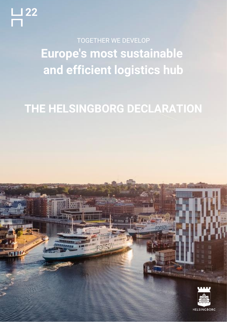**Europe's most sustainable and efficient logistics hub** TOGETHER WE DEVELOP

# **THE HELSINGBORG DECLARATION**



**HELSINGBORG**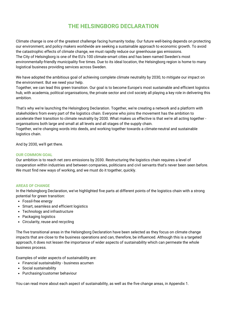# **THE HELSINGBORG DECLARATION**

Climate change is one of the greatest challenge facing humanity today. Our future well-being depends on protecting our environment, and policy makers worldwide are seeking a sustainable approach to economic growth. To avoid the catastrophic effects of climate change, we must rapidly reduce our greenhouse gas emissions. The City of [Helsingborg](https://www.linkedin.com/company/helsingborg/) is one of the EU's 100 climate-smart cities and has been named Sweden's most environmentally-friendly municipality five times. Due to its ideal location, the Helsingborg region is home to many logistical business providing services across Sweden.

We have adopted the ambitious goal of achieving complete climate neutrality by 2030, to mitigate our impact on the environment. But we need your help.

Together, we can lead this green transition. Our goal is to become Europe's most sustainable and efficient logistics hub, with academia, political organisations, the private sector and civil society all playing a key role in delivering this ambition.

That's why we're launching the Helsingborg Declaration. Together, we're creating a network and a platform with stakeholders from every part of the logistics chain. Everyone who joins the movement has the ambition to accelerate their transition to climate neutrality by 2030. What makes us effective is that we're all acting together organisations both large and small at all levels and all stages of the supply chain.

Together, we're changing words into deeds, and working together towards a climate-neutral and sustainable logistics chain.

And by 2030, we'll get there.

#### **OUR COMMON GOAL**

Our ambition is to reach net zero emissions by 2030. Restructuring the logistics chain requires a level of cooperation within industries and between companies, politicians and civil servants that's never been seen before. We must find new ways of working, and we must do it together, quickly.

#### **AREAS OF CHANGE**

In the Helsingborg Declaration, we've highlighted five parts at different points of the logistics chain with a strong potential for green transition:

- Fossil-free energy
- Smart, seamless and efficient logistics
- Technology and infrastructure
- Packaging logistics
- Circularity, reuse and recycling

The five transitional areas in the Helsingborg Declaration have been selected as they focus on climate change impacts that are close to the business operations and can, therefore, be influenced. Although this is a targeted approach, it does not lessen the importance of wider aspects of sustainability which can permeate the whole business process.

Examples of wider aspects of sustainability are:

- Financial sustainability business acumen
- Social sustainability
- Purchasing/customer behaviour

You can read more about each aspect of sustainability, as well as the five change areas, in Appendix 1.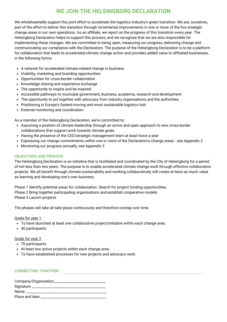# **WE JOIN THE HELSINGBORG DECLARATION**

We wholeheartedly support this joint effort to accelerate the logistics industry's green transition. We are, ourselves, part of the effort to deliver this transition through incremental improvements in one or more of the five strategic change areas in our own operations. As an affiliate, we report on the progress of this transition every year. The Helsingborg Declaration helps to support this process, and we recognise that we are also responsible for implementing these changes. We are committed to being open, measuring our progress, delivering change and communicating our compliance with the Declaration. The purpose of the Helsingborg Declaration is to be a platform for collaboration that leads to accelerated climate change action and provides added value to affiliated businesses, in the following forms:

- A network for accelerated climate-related change in business
- Visibility, marketing and branding opportunities
- Opportunities for cross-border collaboration
- Knowledge sharing and experience exchange
- The opportunity to inspire and be inspired
- Accessible pathways to municipal government, business, academia, research and development
- The opportunity to act together with advocacy from industry organisations and the authorities
- Positioning in Europe's fastest-moving and most sustainable logistics hub
- External monitoring and coordination

As a member of the Helsingborg Declaration, we're committed to:

- Assuming a position of climate leadership through an active and open approach to new cross-border collaborations that support work towards climate goals
- Having the presence of the CEO/strategic management team at least twice a year
- Expressing our change commitments within one or more of the Declaration's change areas see Appendix 2
- Monitoring our progress annually, see Appendix 3

#### **OBJECTIVES AND PROCESS**

The Helsingborg Declaration is an initiative that is facilitated and coordinated by the City of Helsingborg for a period of not less than two years. The purpose is to enable accelerated climate change work through effective collaborative projects. We all benefit through climate-sustainability and working collaboratively will create at least as much value as learning and developing one's own business.

Phase 1 Identify potential areas for collaboration. Search for project funding opportunities. Phase 2 Bring together participating organisations and establish cooperative models. Phase 3 Launch projects

The phases will take all take place continuously and therefore overlap over time.

Goals for year 1

- To have launched at least one collaborative project/initiative within each change area.
- 40 participants

#### Goals for year 2

- 70 participants
- At least two active projects within each change area.
- To have established processes for new projects and advocacy work.

#### **CONNECTING TOGETHER**

| Company/Organisation |
|----------------------|
| Signature            |
| <b>Name</b>          |
| Place and date       |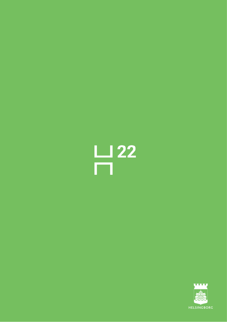

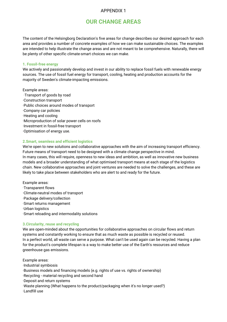# **OUR CHANGE AREAS**

The content of the Helsingborg Declaration's five areas for change describes our desired approach for each area and provides a number of concrete examples of how we can make sustainable choices. The examples are intended to help illustrate the change areas and are not meant to be comprehensive. Naturally, there will be plenty of other specific climate-smart choices we can make.

#### **1. Fossil-free energy**

We actively and passionately develop and invest in our ability to replace fossil fuels with renewable energy sources. The use of fossil fuel energy for transport, cooling, heating and production accounts for the majority of Sweden's climate-impacting emissions.

#### Example areas:

·Transport of goods by road ·Construction transport ·Public choices around modes of transport ·Company car policies ·Heating and cooling ·Microproduction of solar power cells on roofs ·Investment in fossil-free transport ·Optimisation of energy use.

#### **2.Smart, seamless and efficient logistics**

We're open to new solutions and collaborative approaches with the aim of increasing transport efficiency. Future means of transport need to be designed with a climate change perspective in mind. In many cases, this will require, openness to new ideas and ambition, as well as innovative new business models and a broader understanding of what optimised transport means at each stage of the logistics chain. New collaborative approaches and joint ventures are needed to solve the challenges, and these are likely to take place between stakeholders who are alert to and ready for the future.

Example areas: ·Transparent flows ·Climate-neutral modes of transport ·Package delivery/collection ·Smart returns management ·Urban logistics ·Smart reloading and intermodality solutions

#### **3.Circularity, reuse and recycling**

We are open-minded about the opportunities for collaborative approaches on circular flows and return systems and constantly working to ensure that as much waste as possible is recycled or reused. In a perfect world, all waste can serve a purpose. What can't be used again can be recycled. Having a plan for the product's complete lifespan is a way to make better use of the Earth's resources and reduce greenhouse gas emissions.

Example areas: ·Industrial symbiosis ·Business models and financing models (e.g. rights of use vs. rights of ownership) ·Recycling - material recycling and second hand

·Deposit and return systems

·Waste planning (What happens to the product/packaging when it's no longer used?) ·Landfill use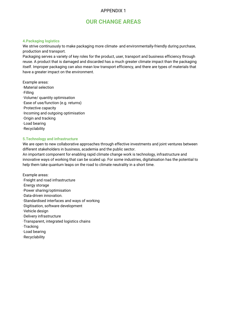## **OUR CHANGE AREAS**

#### **4.Packaging logistics**

We strive continuously to make packaging more climate- and environmentally-friendly during purchase, production and transport.

Packaging serves a variety of key roles for the product, user, transport and business efficiency through reuse. A product that is damaged and discarded has a much greater climate impact than the packaging itself. Improper packaging can also mean low transport efficiency, and there are types of materials that have a greater impact on the environment.

Example areas: ·Material selection ·Filling ·Volume/ quantity optimisation ·Ease of use/function (e.g. returns) ·Protective capacity ·Incoming and outgoing optimisation ·Origin and tracking ·Load bearing ·Recyclability

#### **5.Technology and infrastructure**

We are open to new collaborative approaches through effective investments and joint ventures between different stakeholders in business, academia and the public sector.

An important component for enabling rapid climate change work is technology, infrastructure and innovative ways of working that can be scaled up. For some industries, digitalisation has the potential to help them take quantum leaps on the road to climate neutrality in a short time.

Example areas: ·Freight and road infrastructure ·Energy storage ·Power sharing/optimisation ·Data-driven innovation. ·Standardised interfaces and ways of working ·Digitisation, software development ·Vehicle design ·Delivery infrastructure ·Transparent, integrated logistics chains ·Tracking ·Load bearing ·Recyclability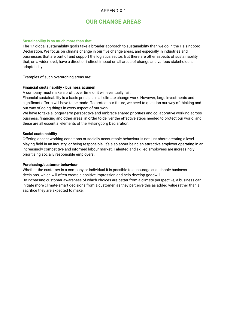## **OUR CHANGE AREAS**

#### **Sustainability is so much more than that..**

The 17 global sustainability goals take a broader approach to sustainability than we do in the Helsingborg Declaration. We focus on climate change in our five change areas, and especially in industries and businesses that are part of and support the logistics sector. But there are other aspects of sustainability that, on a wider level, have a direct or indirect impact on all areas of change and various stakeholder's adaptability.

Examples of such overarching areas are:

#### **Financial sustainability - business acumen**

A company must make a profit over time or it will eventually fail.

Financial sustainability is a basic principle in all climate change work. However, large investments and significant efforts will have to be made. To protect our future, we need to question our way of thinking and our way of doing things in every aspect of our work.

We have to take a longer-term perspective and embrace shared priorities and collaborative working across business, financing and other areas, in order to deliver the effective steps needed to protect our world, and these are all essential elements of the Helsingborg Declaration.

#### **Social sustainability**

Offering decent working conditions or socially accountable behaviour is not just about creating a level playing field in an industry, or being responsible. It's also about being an attractive employer operating in an increasingly competitive and informed labour market. Talented and skilled employees are increasingly prioritising socially responsible employers.

#### **Purchasing/customer behaviour**

Whether the customer is a company or individual it is possible to encourage sustainable business decisions, which will often create a positive impression and help develop goodwill.

By increasing customer awareness of which choices are better from a climate perspective, a business can initiate more climate-smart decisions from a customer, as they perceive this as added value rather than a sacrifice they are expected to make.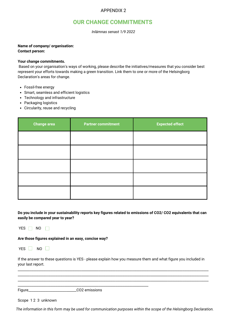# **OUR CHANGE COMMITMENTS**

*Inlämnas senast 1/9 2022*

### **Name of company/ organisation:**

**Contact person:**

#### **Your change commitments.**

Based on your organisation's ways of working, please describe the initiatives/measures that you consider best represent your efforts towards making a green transition. Link them to one or more of the Helsingborg Declaration's areas for change.

- Fossil-free energy
- Smart, seamless and efficient logistics
- Technology and infrastructure
- Packaging logistics
- Circularity, reuse and recycling

| <b>Change area</b> | <b>Partner commitment</b> | <b>Expected effect</b> |
|--------------------|---------------------------|------------------------|
|                    |                           |                        |
|                    |                           |                        |
|                    |                           |                        |
|                    |                           |                        |
|                    |                           |                        |

Do you include in your sustainability reports key figures related to emissions of CO2/CO2 equivalents that can **easily be compared year to year?**

YES  $\Box$  NO  $\Box$ 

**Are those figures explained in an easy, concise way?**

YES  $\Box$  NO  $\Box$ 

If the answer to these questions is YES - please explain how you measure them and what figure you included in your last report.

\_\_\_\_\_\_\_\_\_\_\_\_\_\_\_\_\_\_\_\_\_\_\_\_\_\_\_\_\_\_\_\_\_\_\_\_\_\_\_\_\_\_\_\_\_\_\_\_\_\_\_\_\_\_\_\_\_\_\_\_\_\_\_\_\_\_\_\_\_\_\_\_\_\_\_\_\_\_\_\_\_\_\_\_\_\_\_\_\_\_\_\_\_\_\_\_\_\_\_\_\_\_\_\_\_\_\_\_\_\_\_ \_\_\_\_\_\_\_\_\_\_\_\_\_\_\_\_\_\_\_\_\_\_\_\_\_\_\_\_\_\_\_\_\_\_\_\_\_\_\_\_\_\_\_\_\_\_\_\_\_\_\_\_\_\_\_\_\_\_\_\_\_\_\_\_\_\_\_\_\_\_\_\_\_\_\_\_\_\_\_\_\_\_\_\_\_\_\_\_\_\_\_\_\_\_\_\_\_\_\_\_\_\_\_\_\_\_\_\_\_\_\_ \_\_\_\_\_\_\_\_\_\_\_\_\_\_\_\_\_\_\_\_\_\_\_\_\_\_\_\_\_\_\_\_\_\_\_\_\_\_\_\_\_\_\_\_\_\_\_\_\_\_\_\_\_\_\_\_\_\_\_\_\_\_\_\_\_\_\_\_\_\_\_\_\_\_\_\_\_\_\_\_\_\_\_\_\_\_\_\_\_\_\_\_\_\_\_\_\_\_\_\_\_\_\_\_\_\_\_\_\_\_\_

Figure\_\_\_\_\_\_\_\_\_\_\_\_\_\_\_\_\_\_\_\_\_\_\_\_\_\_\_\_CO2 emissions

Scope 1 2 3 unknown

The information in this form may be used for communication purposes within the scope of the Helsingborg Declaration.